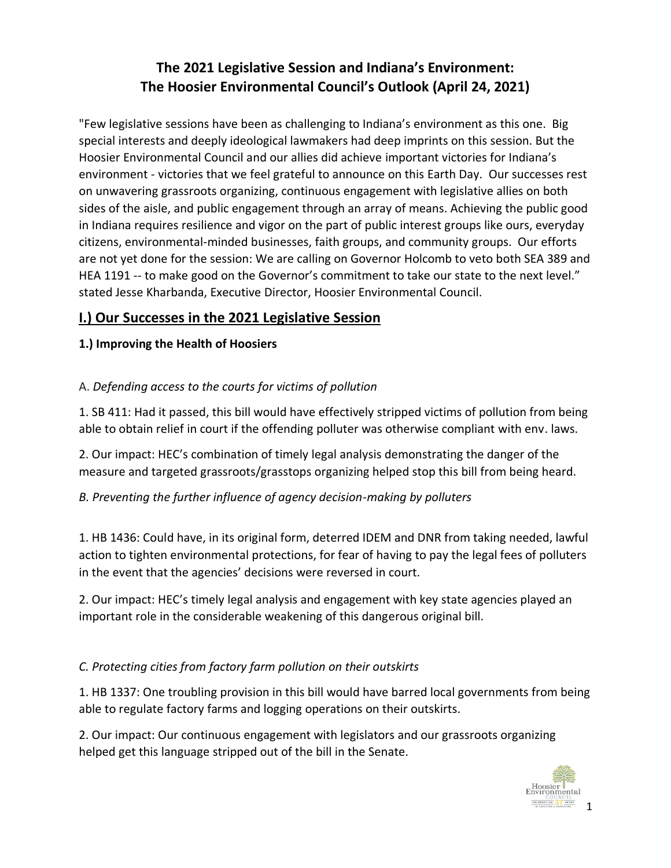# **The 2021 Legislative Session and Indiana's Environment: The Hoosier Environmental Council's Outlook (April 24, 2021)**

"Few legislative sessions have been as challenging to Indiana's environment as this one. Big special interests and deeply ideological lawmakers had deep imprints on this session. But the Hoosier Environmental Council and our allies did achieve important victories for Indiana's environment - victories that we feel grateful to announce on this Earth Day. Our successes rest on unwavering grassroots organizing, continuous engagement with legislative allies on both sides of the aisle, and public engagement through an array of means. Achieving the public good in Indiana requires resilience and vigor on the part of public interest groups like ours, everyday citizens, environmental-minded businesses, faith groups, and community groups. Our efforts are not yet done for the session: We are calling on Governor Holcomb to veto both SEA 389 and HEA 1191 -- to make good on the Governor's commitment to take our state to the next level." stated Jesse Kharbanda, Executive Director, Hoosier Environmental Council.

## **I.) Our Successes in the 2021 Legislative Session**

## **1.) Improving the Health of Hoosiers**

## A. *Defending access to the courts for victims of pollution*

1. SB 411: Had it passed, this bill would have effectively stripped victims of pollution from being able to obtain relief in court if the offending polluter was otherwise compliant with env. laws.

2. Our impact: HEC's combination of timely legal analysis demonstrating the danger of the measure and targeted grassroots/grasstops organizing helped stop this bill from being heard.

## *B. Preventing the further influence of agency decision-making by polluters*

1. HB 1436: Could have, in its original form, deterred IDEM and DNR from taking needed, lawful action to tighten environmental protections, for fear of having to pay the legal fees of polluters in the event that the agencies' decisions were reversed in court.

2. Our impact: HEC's timely legal analysis and engagement with key state agencies played an important role in the considerable weakening of this dangerous original bill.

## *C. Protecting cities from factory farm pollution on their outskirts*

1. HB 1337: One troubling provision in this bill would have barred local governments from being able to regulate factory farms and logging operations on their outskirts.

2. Our impact: Our continuous engagement with legislators and our grassroots organizing helped get this language stripped out of the bill in the Senate.

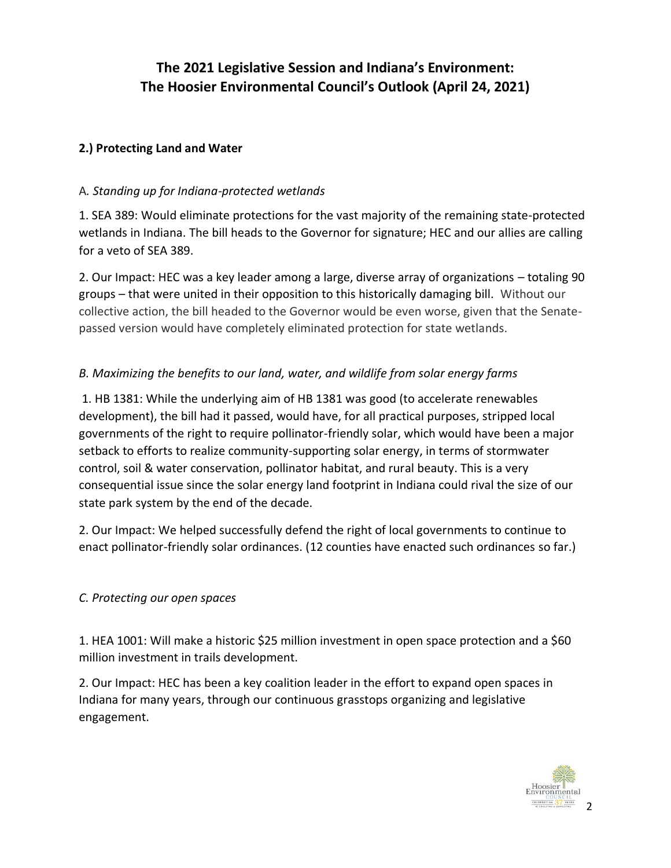# **The 2021 Legislative Session and Indiana's Environment: The Hoosier Environmental Council's Outlook (April 24, 2021)**

## **2.) Protecting Land and Water**

## A*. Standing up for Indiana-protected wetlands*

1. SEA 389: Would eliminate protections for the vast majority of the remaining state-protected wetlands in Indiana. The bill heads to the Governor for signature; HEC and our allies are calling for a veto of SEA 389.

2. Our Impact: HEC was a key leader among a large, diverse array of organizations – totaling 90 groups – that were united in their opposition to this historically damaging bill. Without our collective action, the bill headed to the Governor would be even worse, given that the Senatepassed version would have completely eliminated protection for state wetlands.

## *B. Maximizing the benefits to our land, water, and wildlife from solar energy farms*

1. HB 1381: While the underlying aim of HB 1381 was good (to accelerate renewables development), the bill had it passed, would have, for all practical purposes, stripped local governments of the right to require pollinator-friendly solar, which would have been a major setback to efforts to realize community-supporting solar energy, in terms of stormwater control, soil & water conservation, pollinator habitat, and rural beauty. This is a very consequential issue since the solar energy land footprint in Indiana could rival the size of our state park system by the end of the decade.

2. Our Impact: We helped successfully defend the right of local governments to continue to enact pollinator-friendly solar ordinances. (12 counties have enacted such ordinances so far.)

## *C. Protecting our open spaces*

1. HEA 1001: Will make a historic \$25 million investment in open space protection and a \$60 million investment in trails development.

2. Our Impact: HEC has been a key coalition leader in the effort to expand open spaces in Indiana for many years, through our continuous grasstops organizing and legislative engagement.